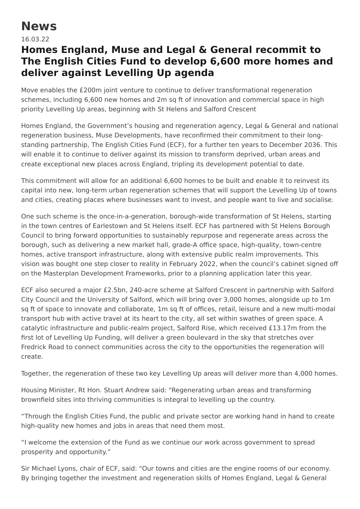## **News**

16.03.22

## **Homes England, Muse and Legal & General recommit to The English Cities Fund to develop 6,600 more homes and deliver against Levelling Up agenda**

Move enables the £200m joint venture to continue to deliver transformational regeneration schemes, including 6,600 new homes and 2m sq ft of innovation and commercial space in high priority Levelling Up areas, beginning with St Helens and Salford Crescent

Homes England, the Government's housing and regeneration agency, Legal & General and national regeneration business, Muse Developments, have reconfirmed their commitment to their longstanding partnership, The English Cities Fund (ECF), for a further ten years to December 2036. This will enable it to continue to deliver against its mission to transform deprived, urban areas and create exceptional new places across England, tripling its development potential to date.

This commitment will allow for an additional 6,600 homes to be built and enable it to reinvest its capital into new, long-term urban regeneration schemes that will support the Levelling Up of towns and cities, creating places where businesses want to invest, and people want to live and socialise.

One such scheme is the once-in-a-generation, borough-wide transformation of St Helens, starting in the town centres of Earlestown and St Helens itself. ECF has partnered with St Helens Borough Council to bring forward opportunities to sustainably repurpose and regenerate areas across the borough, such as delivering a new market hall, grade-A office space, high-quality, town-centre homes, active transport infrastructure, along with extensive public realm improvements. This vision was bought one step closer to reality in February 2022, when the council's cabinet signed off on the Masterplan Development Frameworks, prior to a planning application later this year.

ECF also secured a major £2.5bn, 240-acre scheme at Salford Crescent in partnership with Salford City Council and the University of Salford, which will bring over 3,000 homes, alongside up to 1m sq ft of space to innovate and collaborate, 1m sq ft of offices, retail, leisure and a new multi-modal transport hub with active travel at its heart to the city, all set within swathes of green space. A catalytic infrastructure and public-realm project, Salford Rise, which received £13.17m from the first lot of Levelling Up Funding, will deliver a green boulevard in the sky that stretches over Fredrick Road to connect communities across the city to the opportunities the regeneration will create.

Together, the regeneration of these two key Levelling Up areas will deliver more than 4,000 homes.

Housing Minister, Rt Hon. Stuart Andrew said: "Regenerating urban areas and transforming brownfield sites into thriving communities is integral to levelling up the country.

"Through the English Cities Fund, the public and private sector are working hand in hand to create high-quality new homes and jobs in areas that need them most.

"I welcome the extension of the Fund as we continue our work across government to spread prosperity and opportunity."

Sir Michael Lyons, chair of ECF, said: "Our towns and cities are the engine rooms of our economy. By bringing together the investment and regeneration skills of Homes England, Legal & General